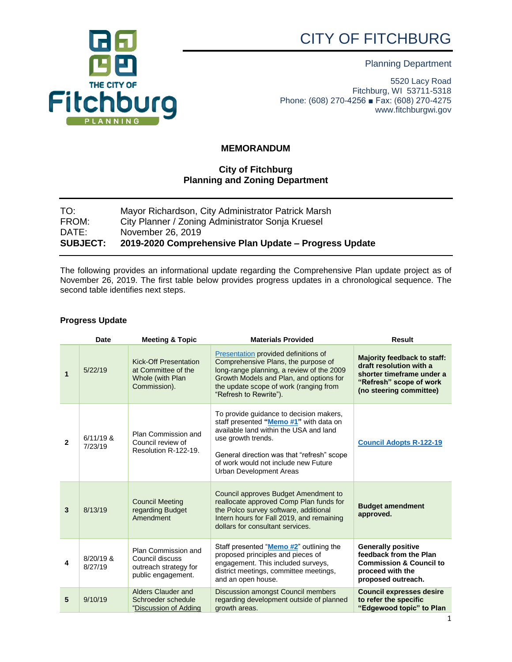# CITY OF FITCHBURG





5520 Lacy Road Fitchburg, WI 53711-5318 Phone: (608) 270-4256 ■ Fax: (608) 270-4275 www.fitchburgwi.gov

## **MEMORANDUM**

### **City of Fitchburg Planning and Zoning Department**

| TO:             | Mayor Richardson, City Administrator Patrick Marsh    |
|-----------------|-------------------------------------------------------|
| FROM:           | City Planner / Zoning Administrator Sonja Kruesel     |
| DATE:           | November 26, 2019                                     |
| <b>SUBJECT:</b> | 2019-2020 Comprehensive Plan Update – Progress Update |

The following provides an informational update regarding the Comprehensive Plan update project as of November 26, 2019. The first table below provides progress updates in a chronological sequence. The second table identifies next steps.

#### **Progress Update**

|                | <b>Date</b>            | <b>Meeting &amp; Topic</b>                                                              | <b>Materials Provided</b>                                                                                                                                                                                                                                          | <b>Result</b>                                                                                                                                    |
|----------------|------------------------|-----------------------------------------------------------------------------------------|--------------------------------------------------------------------------------------------------------------------------------------------------------------------------------------------------------------------------------------------------------------------|--------------------------------------------------------------------------------------------------------------------------------------------------|
| $\mathbf{1}$   | 5/22/19                | <b>Kick-Off Presentation</b><br>at Committee of the<br>Whole (with Plan<br>Commission). | Presentation provided definitions of<br>Comprehensive Plans, the purpose of<br>long-range planning, a review of the 2009<br>Growth Models and Plan, and options for<br>the update scope of work (ranging from<br>"Refresh to Rewrite").                            | <b>Majority feedback to staff:</b><br>draft resolution with a<br>shorter timeframe under a<br>"Refresh" scope of work<br>(no steering committee) |
| $\mathbf{2}$   | $6/11/19$ &<br>7/23/19 | Plan Commission and<br>Council review of<br>Resolution R-122-19.                        | To provide quidance to decision makers,<br>staff presented "Memo #1" with data on<br>available land within the USA and land<br>use growth trends.<br>General direction was that "refresh" scope<br>of work would not include new Future<br>Urban Development Areas | <b>Council Adopts R-122-19</b>                                                                                                                   |
| $\overline{3}$ | 8/13/19                | <b>Council Meeting</b><br>regarding Budget<br>Amendment                                 | Council approves Budget Amendment to<br>reallocate approved Comp Plan funds for<br>the Polco survey software, additional<br>Intern hours for Fall 2019, and remaining<br>dollars for consultant services.                                                          | <b>Budget amendment</b><br>approved.                                                                                                             |
| 4              | 8/20/19 &<br>8/27/19   | Plan Commission and<br>Council discuss<br>outreach strategy for<br>public engagement.   | Staff presented "Memo #2" outlining the<br>proposed principles and pieces of<br>engagement. This included surveys,<br>district meetings, committee meetings,<br>and an open house.                                                                                 | <b>Generally positive</b><br>feedback from the Plan<br><b>Commission &amp; Council to</b><br>proceed with the<br>proposed outreach.              |
| 5              | 9/10/19                | <b>Alders Clauder and</b><br>Schroeder schedule<br>"Discussion of Adding                | Discussion amongst Council members<br>regarding development outside of planned<br>growth areas.                                                                                                                                                                    | <b>Council expresses desire</b><br>to refer the specific<br>"Edgewood topic" to Plan                                                             |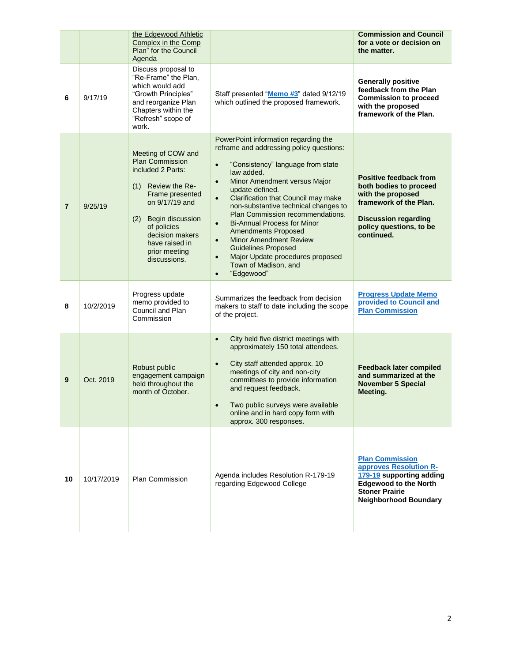|                |            | the Edgewood Athletic<br>Complex in the Comp<br>Plan" for the Council<br>Agenda                                                                                                                                                                 |                                                                                                                                                                                                                                                                                                                                                                                                                                                                                                                                                                                                      | <b>Commission and Council</b><br>for a vote or decision on<br>the matter.                                                                                                      |
|----------------|------------|-------------------------------------------------------------------------------------------------------------------------------------------------------------------------------------------------------------------------------------------------|------------------------------------------------------------------------------------------------------------------------------------------------------------------------------------------------------------------------------------------------------------------------------------------------------------------------------------------------------------------------------------------------------------------------------------------------------------------------------------------------------------------------------------------------------------------------------------------------------|--------------------------------------------------------------------------------------------------------------------------------------------------------------------------------|
| 6              | 9/17/19    | Discuss proposal to<br>"Re-Frame" the Plan,<br>which would add<br>"Growth Principles"<br>and reorganize Plan<br>Chapters within the<br>"Refresh" scope of<br>work.                                                                              | Staff presented "Memo #3" dated 9/12/19<br>which outlined the proposed framework.                                                                                                                                                                                                                                                                                                                                                                                                                                                                                                                    | <b>Generally positive</b><br>feedback from the Plan<br><b>Commission to proceed</b><br>with the proposed<br>framework of the Plan.                                             |
| $\overline{7}$ | 9/25/19    | Meeting of COW and<br><b>Plan Commission</b><br>included 2 Parts:<br>(1)<br>Review the Re-<br>Frame presented<br>on 9/17/19 and<br>(2)<br>Begin discussion<br>of policies<br>decision makers<br>have raised in<br>prior meeting<br>discussions. | PowerPoint information regarding the<br>reframe and addressing policy questions:<br>"Consistency" language from state<br>$\bullet$<br>law added.<br>Minor Amendment versus Major<br>$\bullet$<br>update defined.<br>Clarification that Council may make<br>$\bullet$<br>non-substantive technical changes to<br>Plan Commission recommendations.<br><b>Bi-Annual Process for Minor</b><br>$\bullet$<br><b>Amendments Proposed</b><br><b>Minor Amendment Review</b><br><b>Guidelines Proposed</b><br>Major Update procedures proposed<br>$\bullet$<br>Town of Madison, and<br>"Edgewood"<br>$\bullet$ | <b>Positive feedback from</b><br>both bodies to proceed<br>with the proposed<br>framework of the Plan.<br><b>Discussion regarding</b><br>policy questions, to be<br>continued. |
| 8              | 10/2/2019  | Progress update<br>memo provided to<br>Council and Plan<br>Commission                                                                                                                                                                           | Summarizes the feedback from decision<br>makers to staff to date including the scope<br>of the project.                                                                                                                                                                                                                                                                                                                                                                                                                                                                                              | <b>Progress Update Memo</b><br>provided to Council and<br><b>Plan Commission</b>                                                                                               |
| 9              | Oct. 2019  | Robust public<br>engagement campaign<br>held throughout the<br>month of October.                                                                                                                                                                | City held five district meetings with<br>$\bullet$<br>approximately 150 total attendees.<br>City staff attended approx. 10<br>$\bullet$<br>meetings of city and non-city<br>committees to provide information<br>and request feedback.<br>Two public surveys were available<br>online and in hard copy form with<br>approx. 300 responses.                                                                                                                                                                                                                                                           | <b>Feedback later compiled</b><br>and summarized at the<br><b>November 5 Special</b><br>Meeting.                                                                               |
| 10             | 10/17/2019 | <b>Plan Commission</b>                                                                                                                                                                                                                          | Agenda includes Resolution R-179-19<br>regarding Edgewood College                                                                                                                                                                                                                                                                                                                                                                                                                                                                                                                                    | <b>Plan Commission</b><br>approves Resolution R-<br>179-19 supporting adding<br><b>Edgewood to the North</b><br><b>Stoner Prairie</b><br><b>Neighborhood Boundary</b>          |